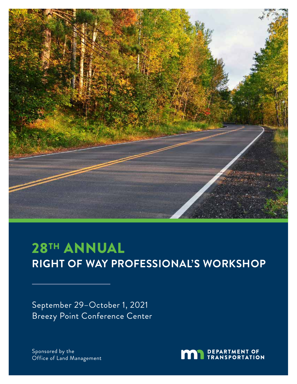

# 28TH ANNUAL **RIGHT OF WAY PROFESSIONAL'S WORKSHOP**

September 29–October 1, 2021 Breezy Point Conference Center

Sponsored by the Office of Land Management

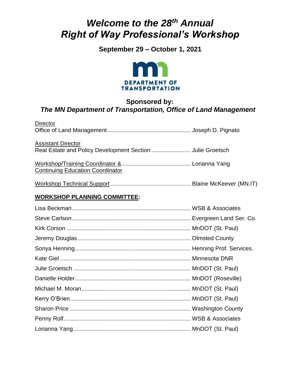# *Welcome to the 28th Annual Right of Way Professional's Workshop*

**September 29 – October 1, 2021**



### **Sponsored by:** *The MN Department of Transportation, Office of Land Management*

| <b>Director</b>                                                                         |  |
|-----------------------------------------------------------------------------------------|--|
| <b>Assistant Director</b><br>Real Estate and Policy Development Section  Julie Groetsch |  |
| <b>Continuing Education Coordinator</b>                                                 |  |
|                                                                                         |  |
| <b>WORKSHOP PLANNING COMMITTEE:</b>                                                     |  |
|                                                                                         |  |
|                                                                                         |  |
|                                                                                         |  |
|                                                                                         |  |
|                                                                                         |  |
|                                                                                         |  |
|                                                                                         |  |
|                                                                                         |  |
|                                                                                         |  |
|                                                                                         |  |
|                                                                                         |  |
|                                                                                         |  |
|                                                                                         |  |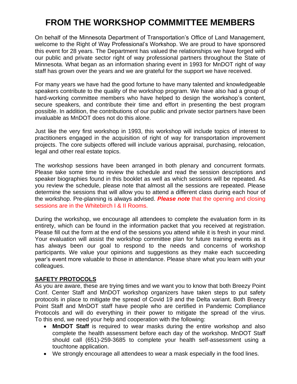## **FROM THE WORKSHOP COMMMITTEE MEMBERS**

On behalf of the Minnesota Department of Transportation's Office of Land Management, welcome to the Right of Way Professional's Workshop. We are proud to have sponsored this event for 28 years. The Department has valued the relationships we have forged with our public and private sector right of way professional partners throughout the State of Minnesota. What began as an information sharing event in 1993 for MnDOT right of way staff has grown over the years and we are grateful for the support we have received.

For many years we have had the good fortune to have many talented and knowledgeable speakers contribute to the quality of the workshop program. We have also had a group of hard-working committee members who have helped to design the workshop's content, secure speakers, and contribute their time and effort in presenting the best program possible. In addition, the contributions of our public and private sector partners have been invaluable as MnDOT does not do this alone.

Just like the very first workshop in 1993, this workshop will include topics of interest to practitioners engaged in the acquisition of right of way for transportation improvement projects. The core subjects offered will include various appraisal, purchasing, relocation, legal and other real estate topics.

The workshop sessions have been arranged in both plenary and concurrent formats. Please take some time to review the schedule and read the session descriptions and speaker biographies found in this booklet as well as which sessions will be repeated. As you review the schedule, please note that almost all the sessions are repeated. Please determine the sessions that will allow you to attend a different class during each hour of the workshop. Pre-planning is always advised. *Please note* that the opening and closing sessions are in the Whitebirch I & II Rooms.

During the workshop, we encourage all attendees to complete the evaluation form in its entirety, which can be found in the information packet that you received at registration. Please fill out the form at the end of the sessions you attend while it is fresh in your mind. Your evaluation will assist the workshop committee plan for future training events as it has always been our goal to respond to the needs and concerns of workshop participants. We value your opinions and suggestions as they make each succeeding year's event more valuable to those in attendance. Please share what you learn with your colleagues.

#### **SAFETY PROTOCOLS**

As you are aware, these are trying times and we want you to know that both Breezy Point Conf. Center Staff and MnDOT workshop organizers have taken steps to put safety protocols in place to mitigate the spread of Covid 19 and the Delta variant. Both Breezy Point Staff and MnDOT staff have people who are certified in Pandemic Compliance Protocols and will do everything in their power to mitigate the spread of the virus. To this end, we need your help and cooperation with the following:

- **MnDOT Staff** is required to wear masks during the entire workshop and also complete the health assessment before each day of the workshop. MnDOT Staff should call (651)-259-3685 to complete your health self-assessment using a touchtone application.
- We strongly encourage all attendees to wear a mask especially in the food lines.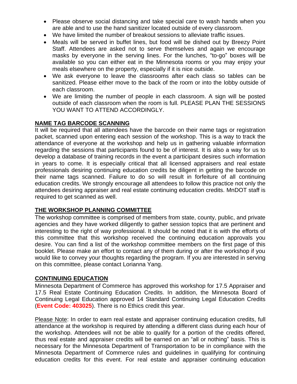- Please observe social distancing and take special care to wash hands when you are able and to use the hand sanitizer located outside of every classroom.
- We have limited the number of breakout sessions to alleviate traffic issues.
- Meals will be served in buffet lines, but food will be dished out by Breezy Point Staff. Attendees are asked not to serve themselves and again we encourage masks by everyone in the serving lines. For the lunches, "to-go" boxes will be available so you can either eat in the Minnesota rooms or you may enjoy your meals elsewhere on the property, especially if it is nice outside.
- We ask everyone to leave the classrooms after each class so tables can be sanitized. Please either move to the back of the room or into the lobby outside of each classroom.
- We are limiting the number of people in each classroom. A sign will be posted outside of each classroom when the room is full. PLEASE PLAN THE SESSIONS YOU WANT TO ATTEND ACCORDINGLY.

#### **NAME TAG BARCODE SCANNING**

It will be required that all attendees have the barcode on their name tags or registration packet, scanned upon entering each session of the workshop. This is a way to track the attendance of everyone at the workshop and help us in gathering valuable information regarding the sessions that participants found to be of interest. It is also a way for us to develop a database of training records in the event a participant desires such information in years to come. It is especially critical that all licensed appraisers and real estate professionals desiring continuing education credits be diligent in getting the barcode on their name tags scanned. Failure to do so will result in forfeiture of all continuing education credits. We strongly encourage all attendees to follow this practice not only the attendees desiring appraiser and real estate continuing education credits. MnDOT staff is required to get scanned as well.

#### **THE WORKSHOP PLANNING COMMITTEE**

The workshop committee is comprised of members from state, county, public, and private agencies and they have worked diligently to gather session topics that are pertinent and interesting to the right of way professional. It should be noted that it is with the efforts of this committee that this workshop received the continuing education approvals you desire. You can find a list of the workshop committee members on the first page of this booklet. Please make an effort to contact any of them during or after the workshop if you would like to convey your thoughts regarding the program. If you are interested in serving on this committee, please contact Lorianna Yang.

#### **CONTINUING EDUCATION**

Minnesota Department of Commerce has approved this workshop for 17.5 Appraiser and 17.5 Real Estate Continuing Education Credits. In addition, the Minnesota Board of Continuing Legal Education approved 14 Standard Continuing Legal Education Credits (**Event Code: 403025**). There is no Ethics credit this year.

Please Note: In order to earn real estate and appraiser continuing education credits, full attendance at the workshop is required by attending a different class during each hour of the workshop. Attendees will not be able to qualify for a portion of the credits offered, thus real estate and appraiser credits will be earned on an "all or nothing" basis. This is necessary for the Minnesota Department of Transportation to be in compliance with the Minnesota Department of Commerce rules and guidelines in qualifying for continuing education credits for this event. For real estate and appraiser continuing education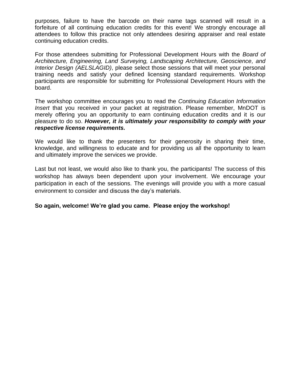purposes, failure to have the barcode on their name tags scanned will result in a forfeiture of all continuing education credits for this event! We strongly encourage all attendees to follow this practice not only attendees desiring appraiser and real estate continuing education credits.

For those attendees submitting for Professional Development Hours with the *Board of Architecture, Engineering, Land Surveying, Landscaping Architecture, Geoscience, and Interior Design (AELSLAGID)*, please select those sessions that will meet your personal training needs and satisfy your defined licensing standard requirements. Workshop participants are responsible for submitting for Professional Development Hours with the board.

The workshop committee encourages you to read the *Continuing Education Information Insert* that you received in your packet at registration. Please remember, MnDOT is merely offering you an opportunity to earn continuing education credits and it is our pleasure to do so. *However, it is ultimately your responsibility to comply with your respective license requirements.*

We would like to thank the presenters for their generosity in sharing their time, knowledge, and willingness to educate and for providing us all the opportunity to learn and ultimately improve the services we provide.

Last but not least, we would also like to thank you, the participants! The success of this workshop has always been dependent upon your involvement. We encourage your participation in each of the sessions. The evenings will provide you with a more casual environment to consider and discuss the day's materials.

#### **So again, welcome! We're glad you came. Please enjoy the workshop!**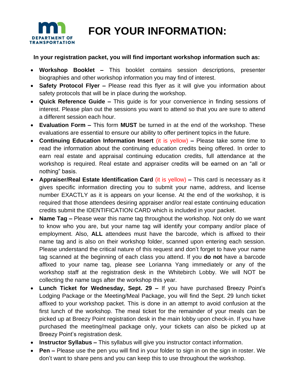

 **FOR YOUR INFORMATION:**

#### **In your registration packet, you will find important workshop information such as:**

- **Workshop Booklet –** This booklet contains session descriptions, presenter biographies and other workshop information you may find of interest.
- **Safety Protocol Flyer –** Please read this flyer as it will give you information about safety protocols that will be in place during the workshop.
- **Quick Reference Guide –** This guide is for your convenience in finding sessions of interest. Please plan out the sessions you want to attend so that you are sure to attend a different session each hour.
- **Evaluation Form –** This form **MUST** be turned in at the end of the workshop. These evaluations are essential to ensure our ability to offer pertinent topics in the future.
- **Continuing Education Information Insert** (it is yellow) **–** Please take some time to read the information about the continuing education credits being offered. In order to earn real estate and appraisal continuing education credits, full attendance at the workshop is required. Real estate and appraiser credits will be earned on an "all or nothing" basis.
- **Appraiser/Real Estate Identification Card** (it is yellow) **–** This card is necessary as it gives specific information directing you to submit your name, address, and license number EXACTLY as it is appears on your license. At the end of the workshop, it is required that those attendees desiring appraiser and/or real estate continuing education credits submit the IDENTIFICATION CARD which is included in your packet.
- **Name Tag –** Please wear this name tag throughout the workshop. Not only do we want to know who you are, but your name tag will identify your company and/or place of employment. Also, **ALL** attendees must have the barcode, which is affixed to their name tag and is also on their workshop folder, scanned upon entering each session. Please understand the critical nature of this request and don't forget to have your name tag scanned at the beginning of each class you attend. If you **do not** have a barcode affixed to your name tag, please see Lorianna Yang immediately or any of the workshop staff at the registration desk in the Whitebirch Lobby. We will NOT be collecting the name tags after the workshop this year.
- **Lunch Ticket for Wednesday, Sept. 29 –** If you have purchased Breezy Point's Lodging Package or the Meeting/Meal Package, you will find the Sept. 29 lunch ticket affixed to your workshop packet. This is done in an attempt to avoid confusion at the first lunch of the workshop. The meal ticket for the remainder of your meals can be picked up at Breezy Point registration desk in the main lobby upon check-in. If you have purchased the meeting/meal package only, your tickets can also be picked up at Breezy Point's registration desk.
- **Instructor Syllabus –** This syllabus will give you instructor contact information.
- **Pen –** Please use the pen you will find in your folder to sign in on the sign in roster. We don't want to share pens and you can keep this to use throughout the workshop.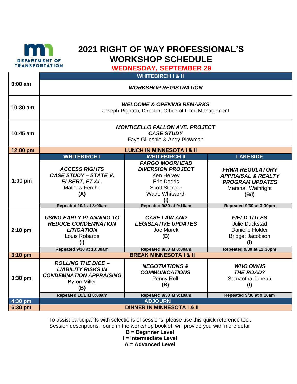

## **2021 RIGHT OF WAY PROFESSIONAL'S WORKSHOP SCHEDULE**

**WEDNESDAY, SEPTEMBER 29**

|                        |                                                                                                                                                                                                                                                                      | <b>WHITEBIRCH I &amp; II</b>                                                                                                                                                                                                                                             |                                                                                                                                                                                                                                                              |  |  |
|------------------------|----------------------------------------------------------------------------------------------------------------------------------------------------------------------------------------------------------------------------------------------------------------------|--------------------------------------------------------------------------------------------------------------------------------------------------------------------------------------------------------------------------------------------------------------------------|--------------------------------------------------------------------------------------------------------------------------------------------------------------------------------------------------------------------------------------------------------------|--|--|
| $9:00$ am              | <b>WORKSHOP REGISTRATION</b>                                                                                                                                                                                                                                         |                                                                                                                                                                                                                                                                          |                                                                                                                                                                                                                                                              |  |  |
| 10:30 am               | <b>WELCOME &amp; OPENING REMARKS</b><br>Joseph Pignato, Director, Office of Land Management                                                                                                                                                                          |                                                                                                                                                                                                                                                                          |                                                                                                                                                                                                                                                              |  |  |
| 10:45 am               | <b>MONTICELLO FALLON AVE. PROJECT</b><br><b>CASE STUDY</b><br>Faye Gillespie & Andy Plowman                                                                                                                                                                          |                                                                                                                                                                                                                                                                          |                                                                                                                                                                                                                                                              |  |  |
| 12:00 pm               |                                                                                                                                                                                                                                                                      | <b>LUNCH IN MINNESOTA I &amp; II</b>                                                                                                                                                                                                                                     |                                                                                                                                                                                                                                                              |  |  |
| $1:00$ pm<br>$2:10$ pm | <b>WHITEBIRCH I</b><br><b>ACCESS RIGHTS</b><br><b>CASE STUDY - STATE V.</b><br>ELBERT, ET AL.<br><b>Mathew Ferche</b><br>(A)<br>Repeated 10/1 at 8:00am<br><b>USING EARLY PLANNING TO</b><br><b>REDUCE CONDEMNATION</b><br><b>LITIGATION</b><br>Louis Robards<br>(1) | <b>WHITEBIRCH II</b><br><b>FARGO MOORHEAD</b><br><b>DIVERSION PROJECT</b><br>Ken Helvey<br><b>Eric Dodds</b><br><b>Scott Stenger</b><br><b>Wade Whitworth</b><br>(1)<br>Repeated 9/30 at 9:10am<br><b>CASE LAW AND</b><br><b>LEGISLATIVE UPDATES</b><br>Joe Marek<br>(B) | <b>LAKESIDE</b><br><b>FHWA REGULATORY</b><br><b>APPRAISAL &amp; REALTY</b><br><b>PROGRAM UPDATES</b><br>Marshall Wainright<br>(B/I)<br>Repeated 9/30 at 3:00pm<br><b>FIELD TITLES</b><br>Julie Duckstad<br>Danielle Holder<br><b>Bridget Jacobson</b><br>(1) |  |  |
|                        | Repeated 9/30 at 10:30am                                                                                                                                                                                                                                             | Repeated 9/30 at 8:00am                                                                                                                                                                                                                                                  | Repeated 9/30 at 12:30pm                                                                                                                                                                                                                                     |  |  |
| $3:10$ pm              | <b>BREAK MINNESOTA I &amp; II</b>                                                                                                                                                                                                                                    |                                                                                                                                                                                                                                                                          |                                                                                                                                                                                                                                                              |  |  |
| 3:30 pm                | <b>ROLLING THE DICE -</b><br><b>LIABILITY RISKS IN</b><br><b>CONDEMNATION APPRAISING</b><br><b>Byron Miller</b><br>(B)<br>Repeated 10/1 at 8:00am                                                                                                                    | <b>NEGOTIATIONS &amp;</b><br><b>COMMUNICATIONS</b><br>Penny Rolf<br>(B)<br>Repeated 9/30 at 9:10am                                                                                                                                                                       | <b>WHO OWNS</b><br><b>THE ROAD?</b><br>Samantha Juneau<br>(1)<br>Repeated 9/30 at 9:10am                                                                                                                                                                     |  |  |
| 4:30 pm                | <b>ADJOURN</b>                                                                                                                                                                                                                                                       |                                                                                                                                                                                                                                                                          |                                                                                                                                                                                                                                                              |  |  |
| 6:30 pm                | <b>DINNER IN MINNESOTA I &amp; II</b>                                                                                                                                                                                                                                |                                                                                                                                                                                                                                                                          |                                                                                                                                                                                                                                                              |  |  |

To assist participants with selections of sessions, please use this quick reference tool. Session descriptions, found in the workshop booklet, will provide you with more detail

**B = Beginner Level I = Intermediate Level A = Advanced Level**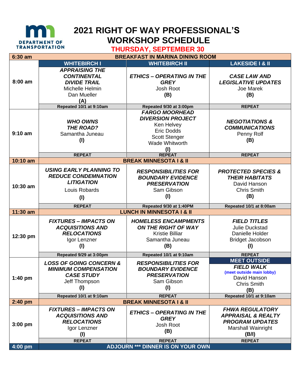

## **2021 RIGHT OF WAY PROFESSIONAL'S WORKSHOP SCHEDULE**

### **THURSDAY, SEPTEMBER 30**

| 6:30 am   |                                    | <b>BREAKFAST IN MARINA DINING ROOM</b> |                                                |
|-----------|------------------------------------|----------------------------------------|------------------------------------------------|
|           | <b>WHITEBIRCH I</b>                | <b>WHITEBIRCH II</b>                   | <b>LAKESIDE I &amp; II</b>                     |
|           | <b>APPRAISING THE</b>              |                                        |                                                |
|           | <b>CONTINENTAL</b>                 | <b>ETHICS - OPERATING IN THE</b>       | <b>CASE LAW AND</b>                            |
| 8:00 am   | <b>DIVIDE TRAIL</b>                | <b>GREY</b>                            | <b>LEGISLATIVE UPDATES</b>                     |
|           | Michelle Helmin                    | Josh Root                              | Joe Marek                                      |
|           | Dan Mueller                        | (B)                                    | (B)                                            |
|           | (A)                                |                                        |                                                |
|           | Repeated 10/1 at 9:10am            | Repeated 9/30 at 3:00pm                | <b>REPEAT</b>                                  |
|           |                                    | <b>FARGO MOORHEAD</b>                  |                                                |
|           | <b>WHO OWNS</b>                    | <b>DIVERSION PROJECT</b>               | <b>NEGOTIATIONS &amp;</b>                      |
|           | <b>THE ROAD?</b>                   | Ken Helvey                             | <b>COMMUNICATIONS</b>                          |
| $9:10$ am | Samantha Juneau                    | <b>Eric Dodds</b>                      | Penny Rolf                                     |
|           |                                    | <b>Scott Stenger</b>                   |                                                |
|           | (1)                                | Wade Whitworth                         | (B)                                            |
|           |                                    | (1)                                    |                                                |
|           | <b>REPEAT</b>                      | <b>REPEAT</b>                          | <b>REPEAT</b>                                  |
| 10:10 am  |                                    | <b>BREAK MINNESOTA I &amp; II</b>      |                                                |
|           | <b>USING EARLY PLANNING TO</b>     | <b>RESPONSIBILITIES FOR</b>            | <b>PROTECTED SPECIES &amp;</b>                 |
|           | <b>REDUCE CONDEMNATION</b>         | <b>BOUNDARY EVIDENCE</b>               | <b>THEIR HABITATS</b>                          |
|           | <b>LITIGATION</b>                  | <b>PRESERVATION</b>                    | David Hanson                                   |
| 10:30 am  | Louis Robards                      | Sam Gibson                             | <b>Chris Smith</b>                             |
|           |                                    |                                        |                                                |
|           | (1)                                | (1)                                    | (B)                                            |
|           | <b>REPEAT</b>                      | Repeated 9/30 at 1:40PM                | Repeated 10/1 at 8:00am                        |
| 11:30 am  |                                    | <b>LUNCH IN MINNESOTA I &amp; II</b>   |                                                |
| 12:30 pm  | <b>FIXTURES - IMPACTS ON</b>       | <b>HOMELESS ENCAMPMENTS</b>            | <b>FIELD TITLES</b>                            |
|           | <b>ACQUISITIONS AND</b>            | <b>ON THE RIGHT OF WAY</b>             | <b>Julie Duckstad</b>                          |
|           | <b>RELOCATIONS</b>                 | <b>Kristie Billiar</b>                 | Danielle Holder                                |
|           | Igor Lenzner                       | Samantha Juneau                        | <b>Bridget Jacobson</b>                        |
|           | (1)                                | (B)                                    | (1)                                            |
|           |                                    |                                        |                                                |
|           | Repeated 9/29 at 3:00pm            | Repeated 10/1 at 9:10am                | <b>REPEAT</b>                                  |
| $1:40$ pm | <b>LOSS OF GOING CONCERN &amp;</b> | <b>RESPONSIBILITIES FOR</b>            | <b>MEET OUTSIDE</b>                            |
|           | <b>MINIMUM COMPENSATION</b>        | <b>BOUNDARY EVIDENCE</b>               | <b>FIELD WALK</b><br>(meet outside main lobby) |
|           | <b>CASE STUDY</b>                  | <b>PRESERVATION</b>                    | David Hanson                                   |
|           | Jeff Thompson                      | Sam Gibson                             | <b>Chris Smith</b>                             |
|           | (1)                                | (1)                                    | (B)                                            |
|           | Repeated 10/1 at 9:10am            | <b>REPEAT</b>                          | Repeated 10/1 at 9:10am                        |
| $2:40$ pm |                                    | <b>BREAK MINNESOTA I &amp; II</b>      |                                                |
|           | <b>FIXTURES – IMPACTS ON</b>       |                                        | <b>FHWA REGULATORY</b>                         |
|           | <b>ACQUISITIONS AND</b>            | <b>ETHICS - OPERATING IN THE</b>       | <b>APPRAISAL &amp; REALTY</b>                  |
|           | <b>RELOCATIONS</b>                 | <b>GREY</b>                            | <b>PROGRAM UPDATES</b>                         |
| $3:00$ pm | Igor Lenzner                       | Josh Root                              | <b>Marshall Wainright</b>                      |
|           | $($ l                              | (B)                                    | (B/I)                                          |
|           |                                    |                                        | <b>REPEAT</b>                                  |
|           | <b>REPEAT</b>                      | <b>REPEAT</b>                          |                                                |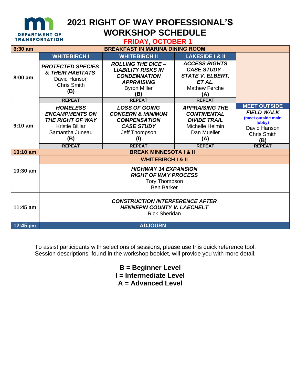

## **2021 RIGHT OF WAY PROFESSIONAL'S WORKSHOP SCHEDULE**

| <b>FRIDAY, OCTOBER 1</b> |
|--------------------------|
|--------------------------|

| 6:30 am    |                                                                                                                                         |                                                                                                                                           |                                                                                                                              |                                                                                                                                        |  |
|------------|-----------------------------------------------------------------------------------------------------------------------------------------|-------------------------------------------------------------------------------------------------------------------------------------------|------------------------------------------------------------------------------------------------------------------------------|----------------------------------------------------------------------------------------------------------------------------------------|--|
|            | <b>WHITEBIRCH I</b>                                                                                                                     | <b>WHITEBIRCH II</b>                                                                                                                      | <b>LAKESIDE I &amp; II</b>                                                                                                   |                                                                                                                                        |  |
| 8:00 am    | <b>PROTECTED SPECIES</b><br><b>&amp; THEIR HABITATS</b><br>David Hanson<br><b>Chris Smith</b><br>(B)                                    | <b>ROLLING THE DICE -</b><br><b>LIABILITY RISKS IN</b><br><b>CONDEMNATION</b><br><b>APPRAISING</b><br><b>Byron Miller</b><br>(B)          | <b>ACCESS RIGHTS</b><br><b>CASE STUDY -</b><br><b>STATE V. ELBERT,</b><br>ET AL.<br><b>Mathew Ferche</b><br>(A)              |                                                                                                                                        |  |
|            | <b>REPEAT</b>                                                                                                                           | <b>REPEAT</b>                                                                                                                             | <b>REPEAT</b>                                                                                                                |                                                                                                                                        |  |
| $9:10$ am  | <b>HOMELESS</b><br><b>ENCAMPMENTS ON</b><br>THE RIGHT OF WAY<br><b>Kristie Billiar</b><br>Samantha Juneau<br>(B)<br><b>REPEAT</b>       | <b>LOSS OF GOING</b><br><b>CONCERN &amp; MINIMUM</b><br><b>COMPENSATION</b><br><b>CASE STUDY</b><br>Jeff Thompson<br>(1)<br><b>REPEAT</b> | <b>APPRAISING THE</b><br><b>CONTINENTAL</b><br><b>DIVIDE TRAIL</b><br>Michelle Helmin<br>Dan Mueller<br>(A)<br><b>REPEAT</b> | <b>MEET OUTSIDE</b><br><b>FIELD WALK</b><br>(meet outside main<br>lobby)<br>David Hanson<br><b>Chris Smith</b><br>(B)<br><b>REPEAT</b> |  |
| 10:10 am   |                                                                                                                                         | <b>BREAK MINNESOTA I &amp; II</b>                                                                                                         |                                                                                                                              |                                                                                                                                        |  |
| 10:30 am   | <b>WHITEBIRCH I &amp; II</b><br><b>HIGHWAY 14 EXPANSION</b><br><b>RIGHT OF WAY PROCESS</b><br><b>Tory Thompson</b><br><b>Ben Barker</b> |                                                                                                                                           |                                                                                                                              |                                                                                                                                        |  |
| $11:45$ am | <b>CONSTRUCTION INTERFERENCE AFTER</b><br><b>HENNEPIN COUNTY V. LAECHELT</b><br><b>Rick Sheridan</b>                                    |                                                                                                                                           |                                                                                                                              |                                                                                                                                        |  |
| 12:45 pm   | <b>ADJOURN</b>                                                                                                                          |                                                                                                                                           |                                                                                                                              |                                                                                                                                        |  |

To assist participants with selections of sessions, please use this quick reference tool. Session descriptions, found in the workshop booklet, will provide you with more detail.

> **B = Beginner Level I = Intermediate Level A = Advanced Level**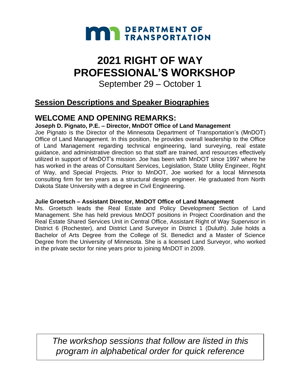

# **2021 RIGHT OF WAY PROFESSIONAL'S WORKSHOP**

September 29 – October 1

## **Session Descriptions and Speaker Biographies**

## **WELCOME AND OPENING REMARKS:**

#### **Joseph D. Pignato, P.E. – Director, MnDOT Office of Land Management**

Joe Pignato is the Director of the Minnesota Department of Transportation's (MnDOT) Office of Land Management. In this position, he provides overall leadership to the Office of Land Management regarding technical engineering, land surveying, real estate guidance, and administrative direction so that staff are trained, and resources effectively utilized in support of MnDOT's mission. Joe has been with MnDOT since 1997 where he has worked in the areas of Consultant Services, Legislation, State Utility Engineer, Right of Way, and Special Projects. Prior to MnDOT, Joe worked for a local Minnesota consulting firm for ten years as a structural design engineer. He graduated from North Dakota State University with a degree in Civil Engineering.

#### **Julie Groetsch – Assistant Director, MnDOT Office of Land Management**

Ms. Groetsch leads the Real Estate and Policy Development Section of Land Management. She has held previous MnDOT positions in Project Coordination and the Real Estate Shared Services Unit in Central Office, Assistant Right of Way Supervisor in District 6 (Rochester), and District Land Surveyor in District 1 (Duluth). Julie holds a Bachelor of Arts Degree from the College of St. Benedict and a Master of Science Degree from the University of Minnesota. She is a licensed Land Surveyor, who worked in the private sector for nine years prior to joining MnDOT in 2009.

*The workshop sessions that follow are listed in this program in alphabetical order for quick reference*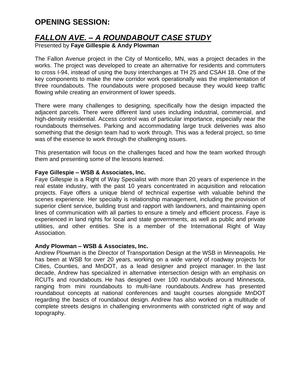## **OPENING SESSION:**

## *FALLON AVE. – A ROUNDABOUT CASE STUDY*

Presented by **Faye Gillespie & Andy Plowman** 

The Fallon Avenue project in the City of Monticello, MN, was a project decades in the works. The project was developed to create an alternative for residents and commuters to cross I-94, instead of using the busy interchanges at TH 25 and CSAH 18. One of the key components to make the new corridor work operationally was the implementation of three roundabouts. The roundabouts were proposed because they would keep traffic flowing while creating an environment of lower speeds.

There were many challenges to designing, specifically how the design impacted the adjacent parcels. There were different land uses including industrial, commercial, and high-density residential. Access control was of particular importance, especially near the roundabouts themselves. Parking and accommodating large truck deliveries was also something that the design team had to work through. This was a federal project, so time was of the essence to work through the challenging issues.

This presentation will focus on the challenges faced and how the team worked through them and presenting some of the lessons learned.

#### **Faye Gillespie – WSB & Associates, Inc.**

Faye Gillespie is a Right of Way Specialist with more than 20 years of experience in the real estate industry, with the past 10 years concentrated in acquisition and relocation projects. Faye offers a unique blend of technical expertise with valuable behind the scenes experience. Her specialty is relationship management, including the provision of superior client service, building trust and rapport with landowners, and maintaining open lines of communication with all parties to ensure a timely and efficient process. Faye is experienced in land rights for local and state governments, as well as public and private utilities, and other entities. She is a member of the International Right of Way Association.

#### **Andy Plowman – WSB & Associates, Inc.**

Andrew Plowman is the Director of Transportation Design at the WSB in Minneapolis. He has been at WSB for over 20 years, working on a wide variety of roadway projects for Cities, Counties, and MnDOT, as a lead designer and project manager. In the last decade, Andrew has specialized in alternative intersection design with an emphasis on RCUTs and roundabouts. He has designed over 100 roundabouts around Minnesota, ranging from mini roundabouts to multi-lane roundabouts. Andrew has presented roundabout concepts at national conferences and taught courses alongside MnDOT regarding the basics of roundabout design. Andrew has also worked on a multitude of complete streets designs in challenging environments with constricted right of way and topography.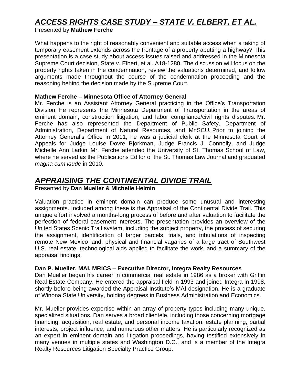## *ACCESS RIGHTS CASE STUDY – STATE V. ELBERT, ET AL.*

#### Presented by **Mathew Ferche**

What happens to the right of reasonably convenient and suitable access when a taking of temporary easement extends across the frontage of a property abutting a highway? This presentation is a case study about access issues raised and addressed in the Minnesota Supreme Court decision, State v. Elbert, et al. A18-1280. The discussion will focus on the property rights taken in the condemnation, review the valuations determined, and follow arguments made throughout the course of the condemnation proceeding and the reasoning behind the decision made by the Supreme Court.

#### **Mathew Ferche – Minnesota Office of Attorney General**

Mr. Ferche is an Assistant Attorney General practicing in the Office's Transportation Division. He represents the Minnesota Department of Transportation in the areas of eminent domain, construction litigation, and labor compliance/civil rights disputes. Mr. Ferche has also represented the Department of Public Safety, Department of Administration, Department of Natural Resources, and MnSCU. Prior to joining the Attorney General's Office in 2011, he was a judicial clerk at the Minnesota Court of Appeals for Judge Louise Dovre Bjorkman, Judge Francis J. Connolly, and Judge Michelle Ann Larkin. Mr. Ferche attended the University of St. Thomas School of Law, where he served as the Publications Editor of the St. Thomas Law Journal and graduated *magna cum laude* in 2010.

### *APPRAISING THE CONTINENTAL DIVIDE TRAIL*

#### Presented by **Dan Mueller & Michelle Helmin**

Valuation practice in eminent domain can produce some unusual and interesting assignments. Included among these is the Appraisal of the Continental Divide Trail. This unique effort involved a months-long process of before and after valuation to facilitate the perfection of federal easement interests. The presentation provides an overview of the United States Scenic Trail system, including the subject property, the process of securing the assignment, identification of larger parcels, trials, and tribulations of inspecting remote New Mexico land, physical and financial vagaries of a large tract of Southwest U.S. real estate, technological aids applied to facilitate the work, and a summary of the appraisal findings.

#### **Dan P. Mueller, MAI, MRICS – Executive Director, Integra Realty Resources**

Dan Mueller began his career in commercial real estate in 1986 as a broker with Griffin Real Estate Company. He entered the appraisal field in 1993 and joined Integra in 1998, shortly before being awarded the Appraisal Institute's MAI designation. He is a graduate of Winona State University, holding degrees in Business Administration and Economics.

Mr. Mueller provides expertise within an array of property types including many unique, specialized situations. Dan serves a broad clientele, including those concerning mortgage financing, acquisition, real estate, and personal income taxation, estate planning, partial interests, project influence, and numerous other matters. He is particularly recognized as an expert in eminent domain and litigation proceedings, having testified extensively in many venues in multiple states and Washington D.C., and is a member of the Integra Realty Resources Litigation Specialty Practice Group.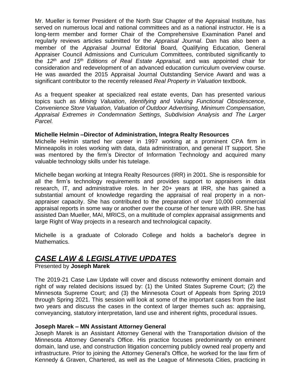Mr. Mueller is former President of the North Star Chapter of the Appraisal Institute, has served on numerous local and national committees and as a national instructor. He is a long-term member and former Chair of the Comprehensive Examination Panel and regularly reviews articles submitted for the *Appraisal Journal*. Dan has also been a member of the *Appraisal Journal* Editorial Board*,* Qualifying Education, General Appraiser Council Admissions and Curriculum Committees, contributed significantly to the *12th and 15th Editions of Real Estate Appraisal,* and was appointed chair for consideration and redevelopment of an advanced education curriculum overview course. He was awarded the 2015 Appraisal Journal Outstanding Service Award and was a significant contributor to the recently released *Real Property in Valuation* textbook.

As a frequent speaker at specialized real estate events, Dan has presented various topics such as *Mining Valuation*, *Identifying and Valuing Functional Obsolescence*, *Convenience Store Valuation, Valuation of Outdoor Advertising, Minimum Compensation, Appraisal Extremes in Condemnation Settings, Subdivision Analysis and The Larger Parcel.*

#### **Michelle Helmin –Director of Administration, Integra Realty Resources**

Michelle Helmin started her career in 1997 working at a prominent CPA firm in Minneapolis in roles working with data, data administration, and general IT support. She was mentored by the firm's Director of Information Technology and acquired many valuable technology skills under his tutelage.

Michelle began working at Integra Realty Resources (IRR) in 2001. She is responsible for all the firm's technology requirements and provides support to appraisers in data research, IT, and administrative roles. In her 20+ years at IRR, she has gained a substantial amount of knowledge regarding the appraisal of real property in a nonappraiser capacity. She has contributed to the preparation of over 10,000 commercial appraisal reports in some way or another over the course of her tenure with IRR. She has assisted Dan Mueller, MAI, MRICS, on a multitude of complex appraisal assignments and large Right of Way projects in a research and technological capacity.

Michelle is a graduate of Colorado College and holds a bachelor's degree in Mathematics.

### *CASE LAW & LEGISLATIVE UPDATES*

Presented by **Joseph Marek**

The 2019-21 Case Law Update will cover and discuss noteworthy eminent domain and right of way related decisions issued by: (1) the United States Supreme Court; (2) the Minnesota Supreme Court; and (3) the Minnesota Court of Appeals from Spring 2019 through Spring 2021. This session will look at some of the important cases from the last two years and discuss the cases in the context of larger themes such as: appraising, conveyancing, statutory interpretation, land use and inherent rights, procedural issues.

#### **Joseph Marek – MN Assistant Attorney General**

Joseph Marek is an Assistant Attorney General with the Transportation division of the Minnesota Attorney General's Office. His practice focuses predominantly on eminent domain, land use, and construction litigation concerning publicly owned real property and infrastructure. Prior to joining the Attorney General's Office, he worked for the law firm of Kennedy & Graven, Chartered, as well as the League of Minnesota Cities, practicing in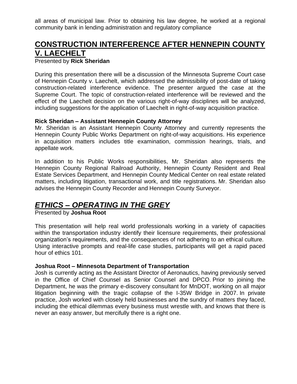all areas of municipal law. Prior to obtaining his law degree, he worked at a regional community bank in lending administration and regulatory compliance

### **CONSTRUCTION INTERFERENCE AFTER HENNEPIN COUNTY V. LAECHELT**

#### Presented by **Rick Sheridan**

During this presentation there will be a discussion of the Minnesota Supreme Court case of Hennepin County v. Laechelt, which addressed the admissibility of post-date of taking construction-related interference evidence. The presenter argued the case at the Supreme Court. The topic of construction-related interference will be reviewed and the effect of the Laechelt decision on the various right-of-way disciplines will be analyzed, including suggestions for the application of Laechelt in right-of-way acquisition practice.

#### **Rick Sheridan – Assistant Hennepin County Attorney**

Mr. Sheridan is an Assistant Hennepin County Attorney and currently represents the Hennepin County Public Works Department on right-of-way acquisitions. His experience in acquisition matters includes title examination, commission hearings, trials, and appellate work.

In addition to his Public Works responsibilities, Mr. Sheridan also represents the Hennepin County Regional Railroad Authority, Hennepin County Resident and Real Estate Services Department, and Hennepin County Medical Center on real estate related matters, including litigation, transactional work, and title registrations. Mr. Sheridan also advises the Hennepin County Recorder and Hennepin County Surveyor.

### *ETHICS – OPERATING IN THE GREY*

Presented by **Joshua Root**

This presentation will help real world professionals working in a variety of capacities within the transportation industry identify their licensure requirements, their professional organization's requirements, and the consequences of not adhering to an ethical culture. Using interactive prompts and real-life case studies, participants will get a rapid paced hour of ethics 101.

#### **Joshua Root – Minnesota Department of Transportation**

Josh is currently acting as the Assistant Director of Aeronautics, having previously served in the Office of Chief Counsel as Senior Counsel and DPCO. Prior to joining the Department, he was the primary e-discovery consultant for MnDOT, working on all major litigation beginning with the tragic collapse of the I-35W Bridge in 2007. In private practice, Josh worked with closely held businesses and the sundry of matters they faced, including the ethical dilemmas every business must wrestle with, and knows that there is never an easy answer, but mercifully there is a right one.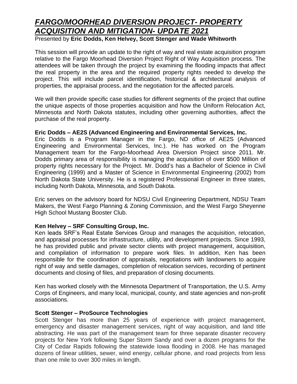## *FARGO/MOORHEAD DIVERSION PROJECT- PROPERTY ACQUISITION AND MITIGATION- UPDATE 2021*

Presented by **Eric Dodds, Ken Helvey, Scott Stenger and Wade Whitworth**

This session will provide an update to the right of way and real estate acquisition program relative to the Fargo Moorhead Diversion Project Right of Way Acquisition process. The attendees will be taken through the project by examining the flooding impacts that affect the real property in the area and the required property rights needed to develop the project. This will include parcel identification, historical & architectural analysis of properties, the appraisal process, and the negotiation for the affected parcels.

We will then provide specific case studies for different segments of the project that outline the unique aspects of those properties acquisition and how the Uniform Relocation Act, Minnesota and North Dakota statutes, including other governing authorities, affect the purchase of the real property.

#### **Eric Dodds – AE2S (Advanced Engineering and Environmental Services, Inc.**

Eric Dodds is a Program Manager in the Fargo, ND office of AE2S (Advanced Engineering and Environmental Services, Inc.). He has worked on the Program Management team for the Fargo-Moorhead Area Diversion Project since 2011. Mr. Dodds primary area of responsibility is managing the acquisition of over \$500 Million of property rights necessary for the Project. Mr. Dodd's has a Bachelor of Science in Civil Engineering (1999) and a Master of Science in Environmental Engineering (2002) from North Dakota State University. He is a registered Professional Engineer in three states, including North Dakota, Minnesota, and South Dakota.

Eric serves on the advisory board for NDSU Civil Engineering Department, NDSU Team Makers, the West Fargo Planning & Zoning Commission, and the West Fargo Sheyenne High School Mustang Booster Club.

#### **Ken Helvey – SRF Consulting Group, Inc.**

Ken leads SRF's Real Estate Services Group and manages the acquisition, relocation, and appraisal processes for infrastructure, utility, and development projects. Since 1993, he has provided public and private sector clients with project management, acquisition, and compilation of information to prepare work files. In addition, Ken has been responsible for the coordination of appraisals, negotiations with landowners to acquire right of way and settle damages, completion of relocation services, recording of pertinent documents and closing of files, and preparation of closing documents.

Ken has worked closely with the Minnesota Department of Transportation, the U.S. Army Corps of Engineers, and many local, municipal, county, and state agencies and non-profit associations.

#### **Scott Stenger – ProSource Technologies**

Scott Stenger has more than 25 years of experience with project management, emergency and disaster management services, right of way acquisition, and land title abstracting. He was part of the management team for three separate disaster recovery projects for New York following Super Storm Sandy and over a dozen programs for the City of Cedar Rapids following the statewide Iowa flooding in 2008. He has managed dozens of linear utilities, sewer, wind energy, cellular phone, and road projects from less than one mile to over 300 miles in length.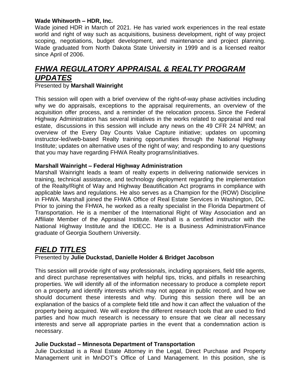#### **Wade Whitworth – HDR, Inc.**

Wade joined HDR in March of 2021. He has varied work experiences in the real estate world and right of way such as acquisitions, business development, right of way project scoping, negotiations, budget development, and maintenance and project planning. Wade graduated from North Dakota State University in 1999 and is a licensed realtor since April of 2006.

## *FHWA REGULATORY APPRAISAL & REALTY PROGRAM UPDATES*

#### Presented by **Marshall Wainright**

This session will open with a brief overview of the right-of-way phase activities including why we do appraisals, exceptions to the appraisal requirements, an overview of the acquisition offer process, and a reminder of the relocation process. Since the Federal Highway Administration has several initiatives in the works related to appraisal and real estate, discussions in this session will include any news on the 49 CFR 24 NPRM; an overview of the Every Day Counts Value Capture initiative; updates on upcoming instructor-led/web-based Realty training opportunities through the National Highway Institute; updates on alternative uses of the right of way; and responding to any questions that you may have regarding FHWA Realty programs/initiatives.

#### **Marshall Wainright – Federal Highway Administration**

Marshall Wainright leads a team of realty experts in delivering nationwide services in training, technical assistance, and technology deployment regarding the implementation of the Realty/Right of Way and Highway Beautification Act programs in compliance with applicable laws and regulations. He also serves as a Champion for the (ROW) Discipline in FHWA. Marshall joined the FHWA Office of Real Estate Services in Washington, DC. Prior to joining the FHWA, he worked as a realty specialist in the Florida Department of Transportation. He is a member of the International Right of Way Association and an Affiliate Member of the Appraisal Institute. Marshall is a certified instructor with the National Highway Institute and the IDECC. He is a Business Administration/Finance graduate of Georgia Southern University.

### *FIELD TITLES*

#### Presented by **Julie Duckstad, Danielle Holder & Bridget Jacobson**

This session will provide right of way professionals, including appraisers, field title agents, and direct purchase representatives with helpful tips, tricks, and pitfalls in researching properties. We will identify all of the information necessary to produce a complete report on a property and identify interests which may not appear in public record, and how we should document these interests and why. During this session there will be an explanation of the basics of a complete field title and how it can affect the valuation of the property being acquired. We will explore the different research tools that are used to find parties and how much research is necessary to ensure that we clear all necessary interests and serve all appropriate parties in the event that a condemnation action is necessary.

#### **Julie Duckstad – Minnesota Department of Transportation**

Julie Duckstad is a Real Estate Attorney in the Legal, Direct Purchase and Property Management unit in MnDOT's Office of Land Management. In this position, she is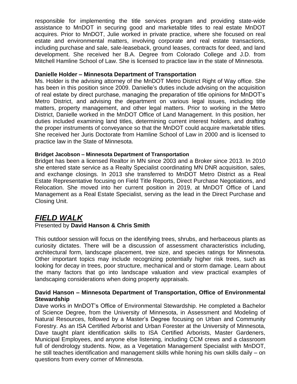responsible for implementing the title services program and providing state-wide assistance to MnDOT in securing good and marketable titles to real estate MnDOT acquires. Prior to MnDOT, Julie worked in private practice, where she focused on real estate and environmental matters, involving corporate and real estate transactions, including purchase and sale, sale-leaseback, ground leases, contracts for deed, and land development. She received her B.A. Degree from Colorado College and J.D. from Mitchell Hamline School of Law. She is licensed to practice law in the state of Minnesota.

#### **Danielle Holder – Minnesota Department of Transportation**

Ms. Holder is the advising attorney of the MnDOT Metro District Right of Way office. She has been in this position since 2009. Danielle's duties include advising on the acquisition of real estate by direct purchase, managing the preparation of title opinions for MnDOT's Metro District, and advising the department on various legal issues, including title matters, property management, and other legal matters. Prior to working in the Metro District, Danielle worked in the MnDOT Office of Land Management. In this position, her duties included examining land titles, determining current interest holders, and drafting the proper instruments of conveyance so that the MnDOT could acquire marketable titles. She received her Juris Doctorate from Hamline School of Law in 2000 and is licensed to practice law in the State of Minnesota.

#### **Bridget Jacobson – Minnesota Department of Transportation**

Bridget has been a licensed Realtor in MN since 2003 and a Broker since 2013. In 2010 she entered state service as a Realty Specialist coordinating MN DNR acquisition, sales, and exchange closings. In 2013 she transferred to MnDOT Metro District as a Real Estate Representative focusing on Field Title Reports, Direct Purchase Negotiations, and Relocation. She moved into her current position in 2019, at MnDOT Office of Land Management as a Real Estate Specialist, serving as the lead in the Direct Purchase and Closing Unit.

### *FIELD WALK*

#### Presented by **David Hanson & Chris Smith**

This outdoor session will focus on the identifying trees, shrubs, and herbaceous plants as curiosity dictates. There will be a discussion of assessment characteristics including, architectural form, landscape placement, tree size, and species ratings for Minnesota. Other important topics may include recognizing potentially higher risk trees, such as looking for decay in trees, poor structure, mechanical and or storm damage. Learn about the many factors that go into landscape valuation and view practical examples of landscaping considerations when doing property appraisals.

#### **David Hanson – Minnesota Department of Transportation, Office of Environmental Stewardship**

Dave works in MnDOT's Office of Environmental Stewardship. He completed a Bachelor of Science Degree, from the University of Minnesota, in Assessment and Modeling of Natural Resources, followed by a Master's Degree focusing on Urban and Community Forestry. As an ISA Certified Arborist and Urban Forester at the University of Minnesota, Dave taught plant identification skills to ISA Certified Arborists, Master Gardeners, Municipal Employees, and anyone else listening, including CCM crews and a classroom full of dendrology students. Now, as a Vegetation Management Specialist with MnDOT, he still teaches identification and management skills while honing his own skills daily – on questions from every corner of Minnesota.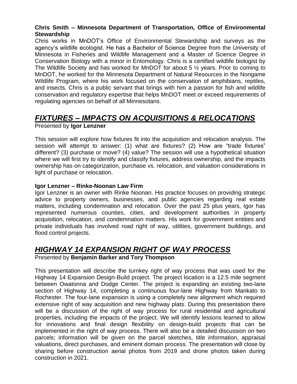#### **Chris Smith – Minnesota Department of Transportation, Office of Environmental Stewardship**

Chris works in MnDOT's Office of Environmental Stewardship and surveys as the agency's wildlife ecologist. He has a Bachelor of Science Degree from the University of Minnesota in Fisheries and Wildlife Management and a Master of Science Degree in Conservation Biology with a minor in Entomology. Chris is a certified wildlife biologist by The Wildlife Society and has worked for MnDOT for about 5 ½ years. Prior to coming to MnDOT, he worked for the Minnesota Department of Natural Resources in the Nongame Wildlife Program, where his work focused on the conservation of amphibians, reptiles, and insects. Chris is a public servant that brings with him a passion for fish and wildlife conservation and regulatory expertise that helps MnDOT meet or exceed requirements of regulating agencies on behalf of all Minnesotans.

## *FIXTURES – IMPACTS ON ACQUISITIONS & RELOCATIONS*

Presented by **Igor Lenzner**

This session will explore how fixtures fit into the acquisition and relocation analysis. The session will attempt to answer: (1) what are fixtures? (2) How are "trade fixtures" different? (3) purchase or move? (4) value? The session will use a hypothetical situation where we will first try to identify and classify fixtures, address ownership, and the impacts ownership has on categorization, purchase vs. relocation, and valuation considerations in light of purchase or relocation.

#### **Igor Lenzner – Rinke-Noonan Law Firm**

Igor Lenzner is an owner with Rinke Noonan. His practice focuses on providing strategic advice to property owners, businesses, and public agencies regarding real estate matters, including condemnation and relocation. Over the past 25 plus years, Igor has represented numerous counties, cities, and development authorities in property acquisition, relocation, and condemnation matters. His work for government entities and private individuals has involved road right of way, utilities, government buildings, and flood control projects.

### *HIGHWAY 14 EXPANSION RIGHT OF WAY PROCESS*

Presented by **Benjamin Barker and Tory Thompson**

This presentation will describe the turnkey right of way process that was used for the Highway 14 Expansion Design-Build project. The project location is a 12.5 mile segment between Owatonna and Dodge Center. The project is expanding an existing two-lane section of Highway 14, completing a continuous four-lane Highway from Mankato to Rochester. The four-lane expansion is using a completely new alignment which required extensive right of way acquisition and new highway plats. During this presentation there will be a discussion of the right of way process for rural residential and agricultural properties, including the impacts of the project. We will identify lessons learned to allow for innovations and final design flexibility on design-build projects that can be implemented in the right of way process. There will also be a detailed discussion on two parcels; information will be given on the parcel sketches, title information, appraisal valuations, direct purchases, and eminent domain process. The presentation will close by sharing before construction aerial photos from 2019 and drone photos taken during construction in 2021.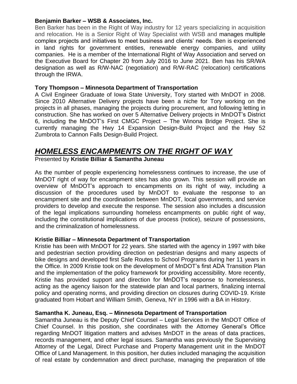#### **Benjamin Barker – WSB & Associates, Inc.**

Ben Barker has been in the Right of Way industry for 12 years specializing in acquisition and relocation. He is a Senior Right of Way Specialist with WSB and manages multiple complex projects and initiatives to meet business and clients' needs. Ben is experienced in land rights for government entities, renewable energy companies, and utility companies. He is a member of the International Right of Way Association and served on the Executive Board for Chapter 20 from July 2016 to June 2021. Ben has his SR/WA designation as well as R/W-NAC (negotiation) and R/W-RAC (relocation) certifications through the IRWA.

#### **Tory Thompson – Minnesota Department of Transportation**

A Civil Engineer Graduate of Iowa State University, Tory started with MnDOT in 2008. Since 2010 Alternative Delivery projects have been a niche for Tory working on the projects in all phases, managing the projects during procurement, and following letting in construction. She has worked on over 5 Alternative Delivery projects in MnDOT's District 6, including the MnDOT's First CMGC Project – The Winona Bridge Project. She is currently managing the Hwy 14 Expansion Design-Build Project and the Hwy 52 Zumbrota to Cannon Falls Design-Build Project.

#### *HOMELESS ENCAMPMENTS ON THE RIGHT OF WAY* Presented by **Kristie Billiar & Samantha Juneau**

As the number of people experiencing homelessness continues to increase, the use of MnDOT right of way for encampment sites has also grown. This session will provide an overview of MnDOT's approach to encampments on its right of way, including a discussion of the procedures used by MnDOT to evaluate the response to an encampment site and the coordination between MnDOT, local governments, and service providers to develop and execute the response. The session also includes a discussion of the legal implications surrounding homeless encampments on public right of way, including the constitutional implications of due process (notice), seizure of possessions, and the criminalization of homelessness.

#### **Kristie Billiar – Minnesota Department of Transportation**

Kristie has been with MnDOT for 22 years. She started with the agency in 1997 with bike and pedestrian section providing direction on pedestrian designs and many aspects of bike designs and developed first Safe Routes to School Programs during her 11 years in the Office. In 2009 Kristie took on the development of MnDOT's first ADA Transition Plan and the implementation of the policy framework for providing accessibility. More recently, Kristie has provided support and direction for MnDOT's response to homelessness, acting as the agency liaison for the statewide plan and local partners, finalizing internal policy and operating norms, and providing direction on closures during COVID-19. Kriste graduated from Hobart and William Smith, Geneva, NY in 1996 with a BA in History.

#### **Samantha K. Juneau, Esq. – Minnesota Department of Transportation**

Samantha Juneau is the Deputy Chief Counsel – Legal Services in the MnDOT Office of Chief Counsel. In this position, she coordinates with the Attorney General's Office regarding MnDOT litigation matters and advises MnDOT in the areas of data practices, records management, and other legal issues. Samantha was previously the Supervising Attorney of the Legal, Direct Purchase and Property Management unit in the MnDOT Office of Land Management. In this position, her duties included managing the acquisition of real estate by condemnation and direct purchase, managing the preparation of title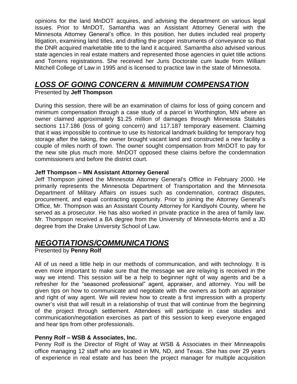opinions for the land MnDOT acquires, and advising the department on various legal issues. Prior to MnDOT, Samantha was an Assistant Attorney General with the Minnesota Attorney General's office. In this position, her duties included real property litigation, examining land titles, and drafting the proper instruments of conveyance so that the DNR acquired marketable title to the land it acquired. Samantha also advised various state agencies in real estate matters and represented those agencies in quiet title actions and Torrens registrations. She received her Juris Doctorate cum laude from William Mitchell College of Law in 1995 and is licensed to practice law in the state of Minnesota.

## *LOSS OF GOING CONCERN & MINIMUM COMPENSATION*

#### Presented by **Jeff Thompson**

During this session, there will be an examination of claims for loss of going concern and minimum compensation through a case study of a parcel in Worthington, MN where an owner claimed approximately \$1.25 million of damages through Minnesota Statutes sections 117.186 (loss of going concern) and 117.187 temporary easement. Claiming that it was impossible to continue to use its historical landmark building for temporary hog storage after the taking, the owner brought vacant land and constructed a new facility a couple of miles north of town. The owner sought compensation from MnDOT to pay for the new site plus much more. MnDOT opposed these claims before the condemnation commissioners and before the district court.

#### **Jeff Thompson – MN Assistant Attorney General**

Jeff Thompson joined the Minnesota Attorney General's Office in February 2000. He primarily represents the Minnesota Department of Transportation and the Minnesota Department of Military Affairs on issues such as condemnation, contract disputes, procurement, and equal contracting opportunity. Prior to joining the Attorney General's Office, Mr. Thompson was an Assistant County Attorney for Kandiyohi County, where he served as a prosecutor. He has also worked in private practice in the area of family law. Mr. Thompson received a BA degree from the University of Minnesota-Morris and a JD degree from the Drake University School of Law.

### *NEGOTIATIONS/COMMUNICATIONS*

Presented by **Penny Rolf**

All of us need a little help in our methods of communication, and with technology. It is even more important to make sure that the message we are relaying is received in the way we intend. This session will be a help to beginner right of way agents and be a refresher for the "seasoned professional" agent, appraiser, and attorney. You will be given tips on how to communicate and negotiate with the owners as both an appraiser and right of way agent. We will review how to create a first impression with a property owner's visit that will result in a relationship of trust that will continue from the beginning of the project through settlement. Attendees will participate in case studies and communication/negotiation exercises as part of this session to keep everyone engaged and hear tips from other professionals.

#### **Penny Rolf – WSB & Associates, Inc.**

Penny Rolf is the Director of Right of Way at WSB & Associates in their Minneapolis office managing 12 staff who are located in MN, ND, and Texas. She has over 29 years of experience in real estate and has been the project manager for multiple acquisition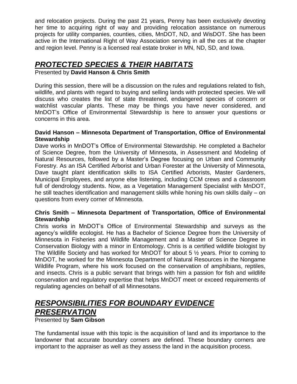and relocation projects. During the past 21 years, Penny has been exclusively devoting her time to acquiring right of way and providing relocation assistance on numerous projects for utility companies, counties, cities, MnDOT, ND, and WisDOT. She has been active in the International Right of Way Association serving in all the ces at the chapter and region level. Penny is a licensed real estate broker in MN, ND, SD, and Iowa.

### *PROTECTED SPECIES & THEIR HABITATS*

Presented by **David Hanson & Chris Smith**

During this session, there will be a discussion on the rules and regulations related to fish, wildlife, and plants with regard to buying and selling lands with protected species. We will discuss who creates the list of state threatened, endangered species of concern or watchlist vascular plants. These may be things you have never considered, and MnDOT's Office of Environmental Stewardship is here to answer your questions or concerns in this area.

#### **David Hanson – Minnesota Department of Transportation, Office of Environmental Stewardship**

Dave works in MnDOT's Office of Environmental Stewardship. He completed a Bachelor of Science Degree, from the University of Minnesota, in Assessment and Modeling of Natural Resources, followed by a Master's Degree focusing on Urban and Community Forestry. As an ISA Certified Arborist and Urban Forester at the University of Minnesota, Dave taught plant identification skills to ISA Certified Arborists, Master Gardeners, Municipal Employees, and anyone else listening, including CCM crews and a classroom full of dendrology students. Now, as a Vegetation Management Specialist with MnDOT, he still teaches identification and management skills while honing his own skills daily – on questions from every corner of Minnesota.

#### **Chris Smith – Minnesota Department of Transportation, Office of Environmental Stewardship**

Chris works in MnDOT's Office of Environmental Stewardship and surveys as the agency's wildlife ecologist. He has a Bachelor of Science Degree from the University of Minnesota in Fisheries and Wildlife Management and a Master of Science Degree in Conservation Biology with a minor in Entomology. Chris is a certified wildlife biologist by The Wildlife Society and has worked for MnDOT for about 5 ½ years. Prior to coming to MnDOT, he worked for the Minnesota Department of Natural Resources in the Nongame Wildlife Program, where his work focused on the conservation of amphibians, reptiles, and insects. Chris is a public servant that brings with him a passion for fish and wildlife conservation and regulatory expertise that helps MnDOT meet or exceed requirements of regulating agencies on behalf of all Minnesotans.

## *RESPONSIBILITIES FOR BOUNDARY EVIDENCE PRESERVATION*

Presented by **Sam Gibson**

The fundamental issue with this topic is the acquisition of land and its importance to the landowner that accurate boundary corners are defined. These boundary corners are important to the appraiser as well as they assess the land in the acquisition process.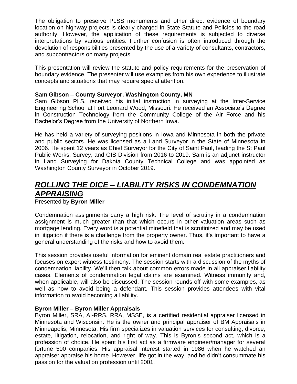The obligation to preserve PLSS monuments and other direct evidence of boundary location on highway projects is clearly charged in State Statute and Policies to the road authority. However, the application of these requirements is subjected to diverse interpretations by various entities. Further confusion is often introduced through the devolution of responsibilities presented by the use of a variety of consultants, contractors, and subcontractors on many projects.

This presentation will review the statute and policy requirements for the preservation of boundary evidence. The presenter will use examples from his own experience to illustrate concepts and situations that may require special attention.

#### **Sam Gibson – County Surveyor, Washington County, MN**

Sam Gibson PLS, received his initial instruction in surveying at the Inter-Service Engineering School at Fort Leonard Wood, Missouri. He received an Associate's Degree in Construction Technology from the Community College of the Air Force and his Bachelor's Degree from the University of Northern Iowa.

He has held a variety of surveying positions in Iowa and Minnesota in both the private and public sectors. He was licensed as a Land Surveyor in the State of Minnesota in 2006. He spent 12 years as Chief Surveyor for the City of Saint Paul, leading the St Paul Public Works, Survey, and GIS Division from 2016 to 2019. Sam is an adjunct instructor in Land Surveying for Dakota County Technical College and was appointed as Washington County Surveyor in October 2019.

## *ROLLING THE DICE – LIABILITY RISKS IN CONDEMNATION APPRAISING*

#### Presented by **Byron Miller**

Condemnation assignments carry a high risk. The level of scrutiny in a condemnation assignment is much greater than that which occurs in other valuation areas such as mortgage lending. Every word is a potential minefield that is scrutinized and may be used in litigation if there is a challenge from the property owner. Thus, it's important to have a general understanding of the risks and how to avoid them.

This session provides useful information for eminent domain real estate practitioners and focuses on expert witness testimony. The session starts with a discussion of the myths of condemnation liability. We'll then talk about common errors made in all appraiser liability cases. Elements of condemnation legal claims are examined. Witness immunity and, when applicable, will also be discussed. The session rounds off with some examples, as well as how to avoid being a defendant. This session provides attendees with vital information to avoid becoming a liability.

#### **Byron Miller – Byron Miller Appraisals**

Byron Miller, SRA, AI-RRS, RRA, MSSE, is a certified residential appraiser licensed in Minnesota and Wisconsin. He is the owner and principal appraiser of BM Appraisals in Minneapolis, Minnesota. His firm specializes in valuation services for consulting, divorce, estate, litigation, relocation, and right of way. This is Byron's second act, which is a profession of choice. He spent his first act as a firmware engineer/manager for several fortune 500 companies. His appraisal interest started in 1986 when he watched an appraiser appraise his home. However, life got in the way, and he didn't consummate his passion for the valuation profession until 2001.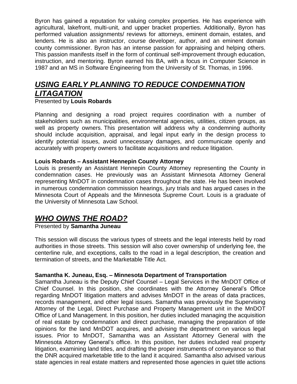Byron has gained a reputation for valuing complex properties. He has experience with agricultural, lakefront, multi-unit, and upper bracket properties. Additionally, Byron has performed valuation assignments/ reviews for attorneys, eminent domain, estates, and lenders. He is also an instructor, course developer, author, and an eminent domain county commissioner. Byron has an intense passion for appraising and helping others. This passion manifests itself in the form of continual self-improvement through education, instruction, and mentoring. Byron earned his BA, with a focus in Computer Science in 1987 and an MS in Software Engineering from the University of St. Thomas, in 1996.

## *USING EARLY PLANNING TO REDUCE CONDEMNATION LITAGATION*

Presented by **Louis Robards**

Planning and designing a road project requires coordination with a number of stakeholders such as municipalities, environmental agencies, utilities, citizen groups, as well as property owners. This presentation will address why a condemning authority should include acquisition, appraisal, and legal input early in the design process to identify potential issues, avoid unnecessary damages, and communicate openly and accurately with property owners to facilitate acquisitions and reduce litigation.

#### **Louis Robards – Assistant Hennepin County Attorney**

Louis is presently an Assistant Hennepin County Attorney representing the County in condemnation cases. He previously was an Assistant Minnesota Attorney General representing MnDOT in condemnation cases throughout the state. He has been involved in numerous condemnation commission hearings, jury trials and has argued cases in the Minnesota Court of Appeals and the Minnesota Supreme Court. Louis is a graduate of the University of Minnesota Law School.

### *WHO OWNS THE ROAD?*

Presented by **Samantha Juneau**

This session will discuss the various types of streets and the legal interests held by road authorities in those streets. This session will also cover ownership of underlying fee, the centerline rule, and exceptions, calls to the road in a legal description, the creation and termination of streets, and the Marketable Title Act.

#### **Samantha K. Juneau, Esq. – Minnesota Department of Transportation**

Samantha Juneau is the Deputy Chief Counsel – Legal Services in the MnDOT Office of Chief Counsel. In this position, she coordinates with the Attorney General's Office regarding MnDOT litigation matters and advises MnDOT in the areas of data practices, records management, and other legal issues. Samantha was previously the Supervising Attorney of the Legal, Direct Purchase and Property Management unit in the MnDOT Office of Land Management. In this position, her duties included managing the acquisition of real estate by condemnation and direct purchase, managing the preparation of title opinions for the land MnDOT acquires, and advising the department on various legal issues. Prior to MnDOT, Samantha was an Assistant Attorney General with the Minnesota Attorney General's office. In this position, her duties included real property litigation, examining land titles, and drafting the proper instruments of conveyance so that the DNR acquired marketable title to the land it acquired. Samantha also advised various state agencies in real estate matters and represented those agencies in quiet title actions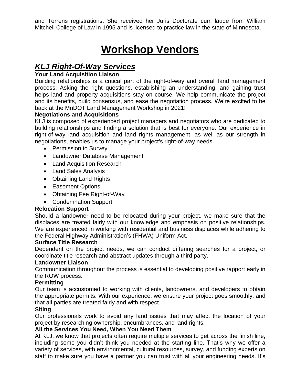and Torrens registrations. She received her Juris Doctorate cum laude from William Mitchell College of Law in 1995 and is licensed to practice law in the state of Minnesota.

# **Workshop Vendors**

## *KLJ Right-Of-Way Services*

#### **Your Land Acquisition Liaison**

Building relationships is a critical part of the right-of-way and overall land management process. Asking the right questions, establishing an understanding, and gaining trust helps land and property acquisitions stay on course. We help communicate the project and its benefits, build consensus, and ease the negotiation process. We're excited to be back at the MnDOT Land Management Workshop in 2021!

#### **Negotiations and Acquisitions**

KLJ is composed of experienced project managers and negotiators who are dedicated to building relationships and finding a solution that is best for everyone. Our experience in right-of-way land acquisition and land rights management, as well as our strength in negotiations, enables us to manage your project's right-of-way needs.

- Permission to Survey
- Landowner Database Management
- Land Acquisition Research
- Land Sales Analysis
- Obtaining Land Rights
- Easement Options
- Obtaining Fee Right-of-Way
- Condemnation Support

#### **Relocation Support**

Should a landowner need to be relocated during your project, we make sure that the displaces are treated fairly with our knowledge and emphasis on positive relationships. We are experienced in working with residential and business displaces while adhering to the Federal Highway Administration's (FHWA) Uniform Act.

#### **Surface Title Research**

Dependent on the project needs, we can conduct differing searches for a project, or coordinate title research and abstract updates through a third party.

#### **Landowner Liaison**

Communication throughout the process is essential to developing positive rapport early in the ROW process.

#### **Permitting**

Our team is accustomed to working with clients, landowners, and developers to obtain the appropriate permits. With our experience, we ensure your project goes smoothly, and that all parties are treated fairly and with respect.

#### **Siting**

Our professionals work to avoid any land issues that may affect the location of your project by researching ownership, encumbrances, and land rights.

#### **All the Services You Need, When You Need Them**

At KLJ, we know that projects often require multiple services to get across the finish line, including some you didn't think you needed at the starting line. That's why we offer a variety of services, with environmental, cultural resources, survey, and funding experts on staff to make sure you have a partner you can trust with all your engineering needs. It's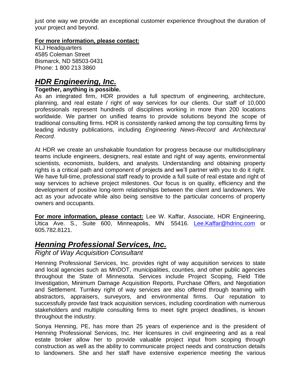just one way we provide an exceptional customer experience throughout the duration of your project and beyond.

#### **For more information, please contact:**

KLJ Headquarters 4585 Coleman Street Bismarck, ND 58503-0431 Phone: 1 800 213 3860

## *HDR Engineering, Inc.*

#### **Together, anything is possible.**

As an integrated firm, HDR provides a full spectrum of engineering, architecture, planning, and real estate / right of way services for our clients. Our staff of 10,000 professionals represent hundreds of disciplines working in more than 200 locations worldwide. We partner on unified teams to provide solutions beyond the scope of traditional consulting firms. HDR is consistently ranked among the top consulting firms by leading industry publications, including *Engineering News-Record* and *Architectural Record*.

At HDR we create an unshakable foundation for progress because our multidisciplinary teams include engineers, designers, real estate and right of way agents, environmental scientists, economists, builders, and analysts. Understanding and obtaining property rights is a critical path and component of projects and we'll partner with you to do it right. We have full-time, professional staff ready to provide a full suite of real estate and right of way services to achieve project milestones. Our focus is on quality, efficiency and the development of positive long-term relationships between the client and landowners. We act as your advocate while also being sensitive to the particular concerns of property owners and occupants.

**For more information, please contact:** Lee W. Kaffar, Associate, HDR Engineering, Utica Ave. S., Suite 600, Minneapolis, MN 55416. [Lee.Kaffar@hdrinc.com](mailto:Lee.Kaffar@hdrinc.com) or 605.782.8121.

## *Henning Professional Services, Inc.*

*Right of Way Acquisition Consultant*

Henning Professional Services, Inc. provides right of way acquisition services to state and local agencies such as MnDOT, municipalities, counties, and other public agencies throughout the State of Minnesota. Services include Project Scoping, Field Title Investigation, Minimum Damage Acquisition Reports, Purchase Offers, and Negotiation and Settlement. Turnkey right of way services are also offered through teaming with abstractors, appraisers, surveyors, and environmental firms. Our reputation to successfully provide fast track acquisition services, including coordination with numerous stakeholders and multiple consulting firms to meet tight project deadlines, is known throughout the industry.

Sonya Henning, PE, has more than 25 years of experience and is the president of Henning Professional Services, Inc. Her licensures in civil engineering and as a real estate broker allow her to provide valuable project input from scoping through construction as well as the ability to communicate project needs and construction details to landowners. She and her staff have extensive experience meeting the various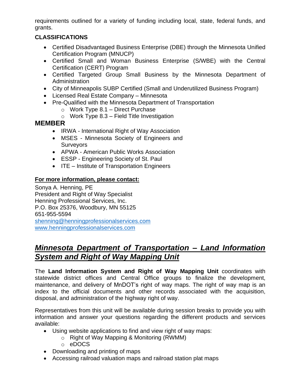requirements outlined for a variety of funding including local, state, federal funds, and grants.

#### **CLASSIFICATIONS**

- Certified Disadvantaged Business Enterprise (DBE) through the Minnesota Unified Certification Program (MNUCP)
- Certified Small and Woman Business Enterprise (S/WBE) with the Central Certification (CERT) Program
- Certified Targeted Group Small Business by the Minnesota Department of Administration
- City of Minneapolis SUBP Certified (Small and Underutilized Business Program)
- Licensed Real Estate Company Minnesota
- Pre-Qualified with the Minnesota Department of Transportation
	- $\circ$  Work Type 8.1 Direct Purchase
	- $\circ$  Work Type 8.3 Field Title Investigation

### **MEMBER**

- IRWA International Right of Way Association
- MSES Minnesota Society of Engineers and Surveyors
- APWA American Public Works Association
- ESSP Engineering Society of St. Paul
- ITE Institute of Transportation Engineers

#### **For more information, please contact:**

Sonya A. Henning, PE President and Right of Way Specialist Henning Professional Services, Inc. P.O. Box 25376, Woodbury, MN 55125 651-955-5594 [shenning@henningprofessionalservices.com](mailto:shenning@henningprofessionalservices.com) [www.henningprofessionalservices.com](http://www.henningprofessionalservices.com/)

### *Minnesota Department of Transportation – Land Information System and Right of Way Mapping Unit*

The **Land Information System and Right of Way Mapping Unit** coordinates with statewide district offices and Central Office groups to finalize the development, maintenance, and delivery of MnDOT's right of way maps. The right of way map is an index to the official documents and other records associated with the acquisition, disposal, and administration of the highway right of way.

Representatives from this unit will be available during session breaks to provide you with information and answer your questions regarding the different products and services available:

- Using website applications to find and view right of way maps:
	- o Right of Way Mapping & Monitoring (RWMM)
	- o eDOCS
- Downloading and printing of maps
- Accessing railroad valuation maps and railroad station plat maps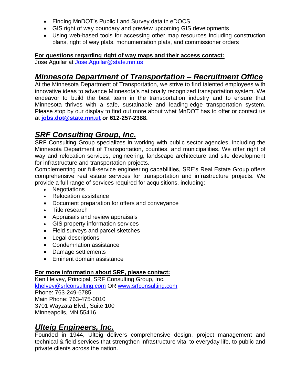- Finding MnDOT's Public Land Survey data in eDOCS
- GIS right of way boundary and preview upcoming GIS developments
- Using web-based tools for accessing other map resources including construction plans, right of way plats, monumentation plats, and commissioner orders

#### **For questions regarding right of way maps and their access contact:**

Jose Aguilar at [Jose.Aguilar@state.mn.us](mailto:Jose.Aguilar@state.mn.us)

## *Minnesota Department of Transportation – Recruitment Office*

At the Minnesota Department of Transportation, we strive to find talented employees with innovative ideas to advance Minnesota's nationally recognized transportation system. We endeavor to build the best team in the transportation industry and to ensure that Minnesota thrives with a safe, sustainable and leading-edge transportation system. Please stop by our display to find out more about what MnDOT has to offer or contact us at **[jobs.dot@state.mn.ut](mailto:jobs.dot@state.mn.ut) or 612-257-2388.**

## *SRF Consulting Group, Inc.*

SRF Consulting Group specializes in working with public sector agencies, including the Minnesota Department of Transportation, counties, and municipalities. We offer right of way and relocation services, engineering, landscape architecture and site development for infrastructure and transportation projects.

Complementing our full-service engineering capabilities, SRF's Real Estate Group offers comprehensive real estate services for transportation and infrastructure projects. We provide a full range of services required for acquisitions, including:

- Negotiations
- Relocation assistance
- Document preparation for offers and conveyance
- Title research
- Appraisals and review appraisals
- GIS property information services
- Field surveys and parcel sketches
- Legal descriptions
- Condemnation assistance
- Damage settlements
- Eminent domain assistance

#### **For more information about SRF, please contact:**

Ken Helvey, Principal, SRF Consulting Group, Inc. [khelvey@srfconsulting.com](mailto:khelvey@srfconsulting.com) OR [www.srfconsulting.com](https://gcc02.safelinks.protection.outlook.com/?url=http%3A%2F%2Fwww.srfconsulting.com%2F&data=04%7C01%7Clorianna.yang%40state.mn.us%7C04924b0794214d1cd62808d9409fa74c%7Ceb14b04624c445198f26b89c2159828c%7C0%7C0%7C637611877314670702%7CUnknown%7CTWFpbGZsb3d8eyJWIjoiMC4wLjAwMDAiLCJQIjoiV2luMzIiLCJBTiI6Ik1haWwiLCJXVCI6Mn0%3D%7C2000&sdata=%2BzBFKEU%2F7la5gJo3XoIK2Bo9RomxqaJp%2BILiS55vZCg%3D&reserved=0) Phone: 763-249-6785 Main Phone: 763-475-0010 3701 Wayzata Blvd., Suite 100 Minneapolis, MN 55416

### *Ulteig Engineers, Inc.*

Founded in 1944, Ulteig delivers comprehensive design, project management and technical & field services that strengthen infrastructure vital to everyday life, to public and private clients across the nation.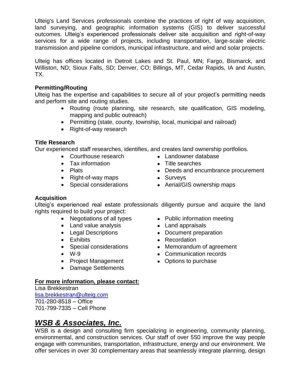Ulteig's Land Services professionals combine the practices of right of way acquisition, land surveying, and geographic information systems (GIS) to deliver successful outcomes. Ulteig's experienced professionals deliver site acquisition and right-of-way services for a wide range of projects, including transportation, large-scale electric transmission and pipeline corridors, municipal infrastructure, and wind and solar projects.

Ulteig has offices located in Detroit Lakes and St. Paul, MN; Fargo, Bismarck, and Williston, ND; Sioux Falls, SD; Denver, CO; Billings, MT, Cedar Rapids, IA and Austin, TX.

#### **Permitting/Routing**

Ulteig has the expertise and capabilities to secure all of your project's permitting needs and perform site and routing studies.

- Routing (route planning, site research, site qualification, GIS modeling, mapping and public outreach)
- Permitting (state, county, township, local, municipal and railroad)
- Right-of-way research

#### **Title Research**

Our experienced staff researches, identifies, and creates land ownership portfolios.

- Courthouse research Landowner database
- Tax information Title searches
- 
- Right-of-way maps Surveys
- 
- 
- 
- Plats  **Deeds and encumbrance procurement** 
	-
- Special considerations Aerial/GIS ownership maps

#### **Acquisition**

Ulteig's experienced real estate professionals diligently pursue and acquire the land rights required to build your project:

- Negotiations of all types Public information meeting
- Land value analysis Land appraisals
- 
- 
- 
- 
- Project Management Options to purchase
- Damage Settlements
- 
- Legal Descriptions Document preparation
- Exhibits  **Recordation**
- Special considerations Memorandum of agreement
- W-9  **Communication records** 
	-

#### **For more information, please contact:**

Lisa Brekkestran [lisa.brekkestran@ulteig.com](mailto:lisa.brekkestran@ulteig.com) 701-280-8518 – Office 701-799-7335 – Cell Phone

## *WSB & Associates, Inc.*

WSB is a design and consulting firm specializing in engineering, community planning, environmental, and construction services. Our staff of over 550 improve the way people engage with communities, transportation, infrastructure, energy and our environment. We offer services in over 30 complementary areas that seamlessly integrate planning, design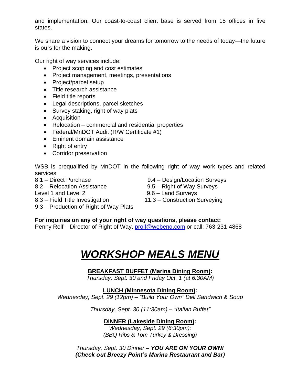and implementation. Our coast-to-coast client base is served from 15 offices in five states.

We share a vision to connect your dreams for tomorrow to the needs of today—the future is ours for the making.

Our right of way services include:

- Project scoping and cost estimates
- Project management, meetings, presentations
- Project/parcel setup
- Title research assistance
- Field title reports
- Legal descriptions, parcel sketches
- Survey staking, right of way plats
- Acquisition
- Relocation commercial and residential properties
- Federal/MnDOT Audit (R/W Certificate #1)
- Eminent domain assistance
- Right of entry
- Corridor preservation

WSB is prequalified by MnDOT in the following right of way work types and related services:

8.2 – Relocation Assistance 9.5 – Right of Way Surveys Level 1 and Level 2 9.6 – Land Surveys

8.1 – Direct Purchase 9.4 – Design/Location Surveys

- 
- 
- 8.3 Field Title Investigation 11.3 Construction Surveying
- 9.3 Production of Right of Way Plats

**For inquiries on any of your right of way questions, please contact:**

Penny Rolf – Director of Right of Way, [prolf@webeng.com](mailto:prolf@webeng.com) or call: 763-231-4868

# *WORKSHOP MEALS MENU*

#### **BREAKFAST BUFFET (Marina Dining Room):**

*Thursday, Sept. 30 and Friday Oct. 1 (at 6:30AM)*

**LUNCH (Minnesota Dining Room):**

*Wednesday, Sept. 29 (12pm) – "Build Your Own" Deli Sandwich & Soup*

*Thursday, Sept. 30 (11:30am) – "Italian Buffet"*

#### **DINNER (Lakeside Dining Room):**

*Wednesday, Sept. 29 (6:30pm): (BBQ Ribs & Tom Turkey & Dressing)*

*Thursday, Sept. 30 Dinner – YOU ARE ON YOUR OWN! (Check out Breezy Point's Marina Restaurant and Bar)*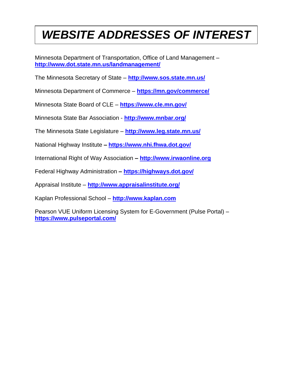# *WEBSITE ADDRESSES OF INTEREST*

Minnesota Department of Transportation, Office of Land Management – **<http://www.dot.state.mn.us/landmanagement/>**

The Minnesota Secretary of State – **<http://www.sos.state.mn.us/>**

Minnesota Department of Commerce – **<https://mn.gov/commerce/>**

Minnesota State Board of CLE – **<https://www.cle.mn.gov/>**

Minnesota State Bar Association - **<http://www.mnbar.org/>**

The Minnesota State Legislature – **<http://www.leg.state.mn.us/>**

National Highway Institute **– <https://www.nhi.fhwa.dot.gov/>**

International Right of Way Association **– [http://www.irwaonline.org](http://www.irwaonline.org/)**

Federal Highway Administration **– <https://highways.dot.gov/>**

Appraisal Institute – **<http://www.appraisalinstitute.org/>**

Kaplan Professional School – **[http://www.kaplan.com](http://www.kaplan.com/)**

Pearson VUE Uniform Licensing System for E-Government (Pulse Portal) – **<https://www.pulseportal.com/>**